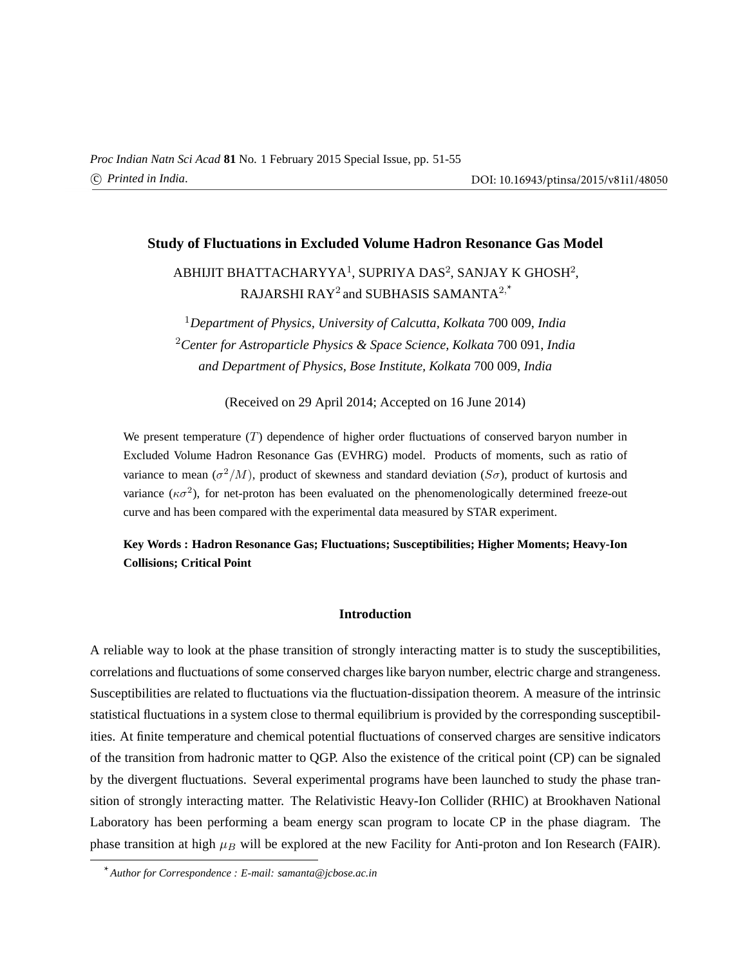# **Study of Fluctuations in Excluded Volume Hadron Resonance Gas Model**

ABHIJIT BHATTACHARYYA $^1$ , SUPRIYA DAS $^2$ , SANJAY K GHOSH $^2$ , RAJARSHI RAY $^2$  and SUBHASIS SAMANTA $^{2,*}$ 

<sup>1</sup>*Department of Physics, University of Calcutta, Kolkata* 700 009, *India* <sup>2</sup>*Center for Astroparticle Physics & Space Science, Kolkata* 700 091, *India and Department of Physics, Bose Institute, Kolkata* 700 009, *India*

(Received on 29 April 2014; Accepted on 16 June 2014)

We present temperature  $(T)$  dependence of higher order fluctuations of conserved baryon number in Excluded Volume Hadron Resonance Gas (EVHRG) model. Products of moments, such as ratio of variance to mean  $(\sigma^2/M)$ , product of skewness and standard deviation  $(S\sigma)$ , product of kurtosis and variance ( $\kappa \sigma^2$ ), for net-proton has been evaluated on the phenomenologically determined freeze-out curve and has been compared with the experimental data measured by STAR experiment.

# **Key Words : Hadron Resonance Gas; Fluctuations; Susceptibilities; Higher Moments; Heavy-Ion Collisions; Critical Point**

## **Introduction**

A reliable way to look at the phase transition of strongly interacting matter is to study the susceptibilities, correlations and fluctuations of some conserved charges like baryon number, electric charge and strangeness. Susceptibilities are related to fluctuations via the fluctuation-dissipation theorem. A measure of the intrinsic statistical fluctuations in a system close to thermal equilibrium is provided by the corresponding susceptibilities. At finite temperature and chemical potential fluctuations of conserved charges are sensitive indicators of the transition from hadronic matter to QGP. Also the existence of the critical point (CP) can be signaled by the divergent fluctuations. Several experimental programs have been launched to study the phase transition of strongly interacting matter. The Relativistic Heavy-Ion Collider (RHIC) at Brookhaven National Laboratory has been performing a beam energy scan program to locate CP in the phase diagram. The phase transition at high  $\mu_B$  will be explored at the new Facility for Anti-proton and Ion Research (FAIR).

<sup>\*</sup>*Author for Correspondence : E-mail: samanta@jcbose.ac.in*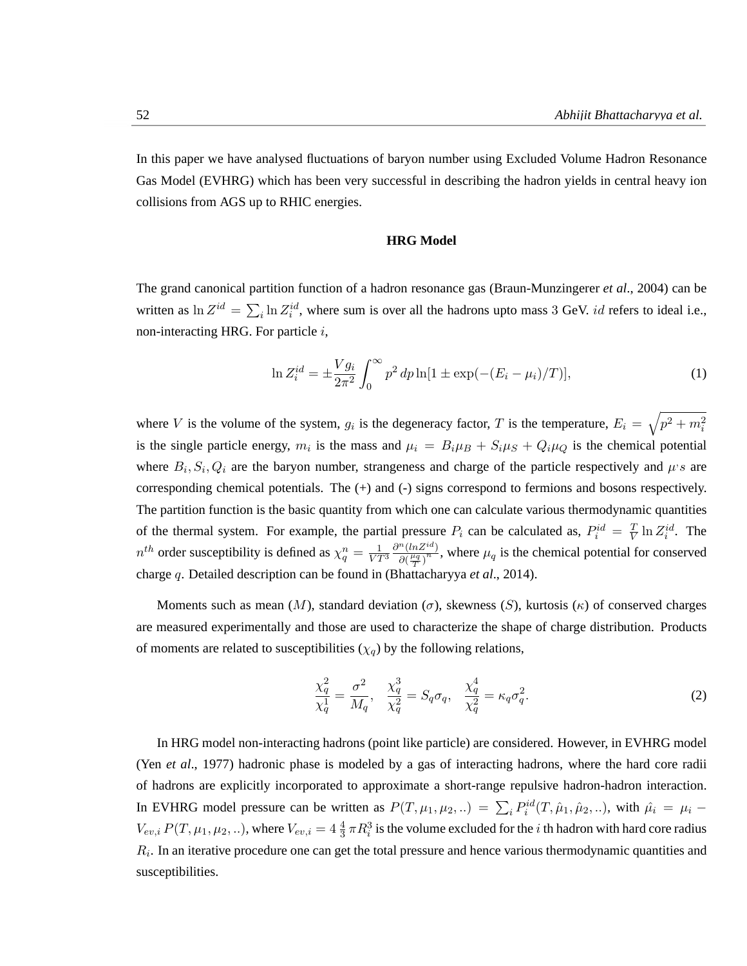$\mathcal{L}$ 

In this paper we have analysed fluctuations of baryon number using Excluded Volume Hadron Resonance Gas Model (EVHRG) which has been very successful in describing the hadron yields in central heavy ion collisions from AGS up to RHIC energies.

#### **HRG Model**

The grand canonical partition function of a hadron resonance gas (Braun-Munzingerer *et al*., 2004) can be written as  $\ln Z^{id} = \sum$  $i_{i}$  ln  $Z_{i}^{id}$ , where sum is over all the hadrons upto mass 3 GeV. *id* refers to ideal i.e., non-interacting HRG. For particle  $i$ ,

$$
\ln Z_i^{id} = \pm \frac{V g_i}{2\pi^2} \int_0^\infty p^2 dp \ln[1 \pm \exp(-(E_i - \mu_i)/T)],\tag{1}
$$

where V is the volume of the system,  $g_i$  is the degeneracy factor, T is the temperature,  $E_i =$  $p^2 + m_i^2$ is the single particle energy,  $m_i$  is the mass and  $\mu_i = B_i \mu_B + S_i \mu_S + Q_i \mu_Q$  is the chemical potential where  $B_i$ ,  $S_i$ ,  $Q_i$  are the baryon number, strangeness and charge of the particle respectively and  $\mu$ 's are corresponding chemical potentials. The (+) and (-) signs correspond to fermions and bosons respectively. The partition function is the basic quantity from which one can calculate various thermodynamic quantities of the thermal system. For example, the partial pressure  $P_i$  can be calculated as,  $P_i^{id} = \frac{T}{V}$  $\frac{T}{V} \ln Z_i^{id}$ . The  $n^{th}$  order susceptibility is defined as  $\chi_q^n = \frac{1}{VT^3}$  $\partial^n(lnZ^{id})$  $\frac{\partial (n \Sigma^{\alpha})}{\partial (\frac{\mu_q}{T})^n}$ , where  $\mu_q$  is the chemical potential for conserved charge q. Detailed description can be found in (Bhattacharyya *et al*., 2014).

Moments such as mean  $(M)$ , standard deviation  $(\sigma)$ , skewness  $(S)$ , kurtosis  $(\kappa)$  of conserved charges are measured experimentally and those are used to characterize the shape of charge distribution. Products of moments are related to susceptibilities ( $\chi_q$ ) by the following relations,

$$
\frac{\chi_q^2}{\chi_q^1} = \frac{\sigma^2}{M_q}, \quad \frac{\chi_q^3}{\chi_q^2} = S_q \sigma_q, \quad \frac{\chi_q^4}{\chi_q^2} = \kappa_q \sigma_q^2. \tag{2}
$$

In HRG model non-interacting hadrons (point like particle) are considered. However, in EVHRG model (Yen *et al*., 1977) hadronic phase is modeled by a gas of interacting hadrons, where the hard core radii of hadrons are explicitly incorporated to approximate a short-range repulsive hadron-hadron interaction. In EVHRG model pressure can be written as  $P(T, \mu_1, \mu_2, ...) = \sum_i P_i^{id}(T, \hat{\mu}_1, \hat{\mu}_2, ...)$ , with  $\hat{\mu}_i = \mu_i$  $V_{ev,i}P(T,\mu_1,\mu_2,..)$ , where  $V_{ev,i}=4\frac{4}{3}\pi R_i^3$  is the volume excluded for the *i* th hadron with hard core radius  $R<sub>i</sub>$ . In an iterative procedure one can get the total pressure and hence various thermodynamic quantities and susceptibilities.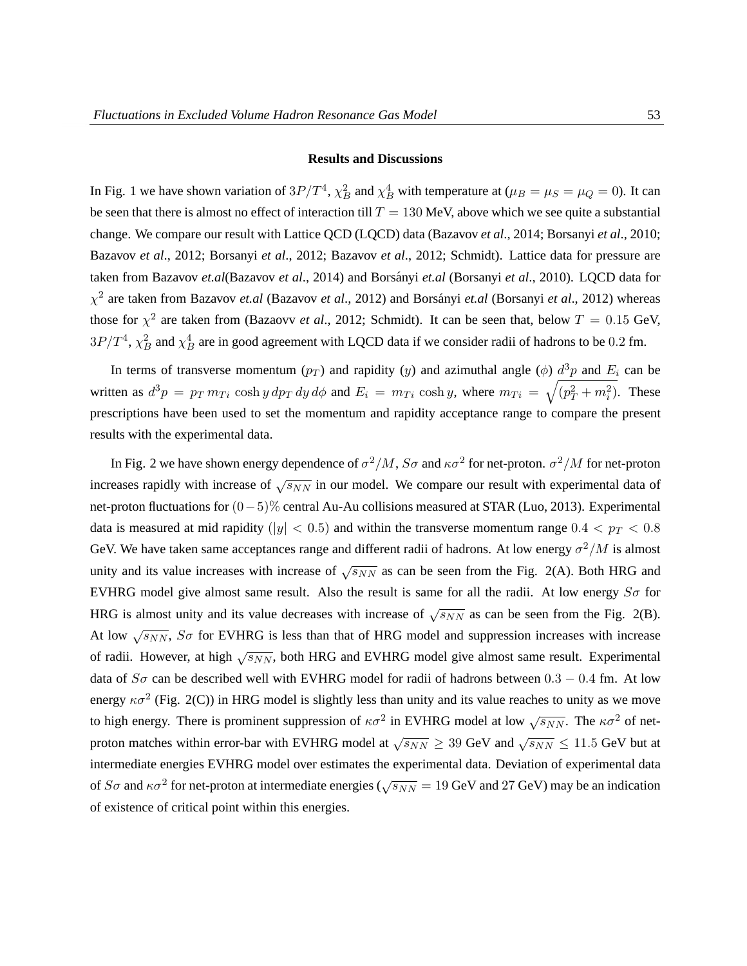#### **Results and Discussions**

In Fig. 1 we have shown variation of  $3P/T^4$ ,  $\chi_B^2$  and  $\chi_B^4$  with temperature at ( $\mu_B = \mu_S = \mu_Q = 0$ ). It can be seen that there is almost no effect of interaction till  $T = 130$  MeV, above which we see quite a substantial change. We compare our result with Lattice QCD (LQCD) data (Bazavov *et al*., 2014; Borsanyi *et al*., 2010; Bazavov *et al*., 2012; Borsanyi *et al*., 2012; Bazavov *et al*., 2012; Schmidt). Lattice data for pressure are taken from Bazavov *et.al*(Bazavov *et al.*, 2014) and Borsányi *et.al* (Borsanyi *et al.*, 2010). LQCD data for  $\chi^2$  are taken from Bazavov *et.al* (Bazavov *et al.*, 2012) and Borsányi *et.al* (Borsanyi *et al.*, 2012) whereas those for  $\chi^2$  are taken from (Bazaovv *et al.*, 2012; Schmidt). It can be seen that, below  $T = 0.15$  GeV,  $3P/T^4$ ,  $\chi_B^2$  and  $\chi_B^4$  are in good agreement with LQCD data if we consider radii of hadrons to be 0.2 fm.

In terms of transverse momentum  $(p_T)$  and rapidity  $(y)$  and azimuthal angle  $(\phi)$   $\frac{d^3p}{dx^2}$  and  $E_i$  can be written as  $d^3p = p_T m_{Ti} \cosh y dp_T dy d\phi$  and  $E_i = m_{Ti} \cosh y$ , where  $m_{Ti} = \sqrt{(p_T^2 + m_i^2)}$ . These prescriptions have been used to set the momentum and rapidity acceptance range to compare the present results with the experimental data.

In Fig. 2 we have shown energy dependence of  $\sigma^2/M$ ,  $S\sigma$  and  $\kappa\sigma^2$  for net-proton.  $\sigma^2/M$  for net-proton increases rapidly with increase of  $\sqrt{s_{NN}}$  in our model. We compare our result with experimental data of net-proton fluctuations for (0−5)% central Au-Au collisions measured at STAR (Luo, 2013). Experimental data is measured at mid rapidity ( $|y| < 0.5$ ) and within the transverse momentum range  $0.4 < p_T < 0.8$ GeV. We have taken same acceptances range and different radii of hadrons. At low energy  $\sigma^2/M$  is almost unity and its value increases with increase of  $\sqrt{s_{NN}}$  as can be seen from the Fig. 2(A). Both HRG and EVHRG model give almost same result. Also the result is same for all the radii. At low energy  $S\sigma$  for HRG is almost unity and its value decreases with increase of  $\sqrt{s_{NN}}$  as can be seen from the Fig. 2(B). At low  $\sqrt{s_{NN}}$ ,  $S\sigma$  for EVHRG is less than that of HRG model and suppression increases with increase of radii. However, at high  $\sqrt{s_{NN}}$ , both HRG and EVHRG model give almost same result. Experimental data of  $S\sigma$  can be described well with EVHRG model for radii of hadrons between 0.3 – 0.4 fm. At low energy  $\kappa \sigma^2$  (Fig. 2(C)) in HRG model is slightly less than unity and its value reaches to unity as we move to high energy. There is prominent suppression of  $\kappa \sigma^2$  in EVHRG model at low  $\sqrt{s_{NN}}$ . The  $\kappa \sigma^2$  of netproton matches within error-bar with EVHRG model at  $\sqrt{s_{NN}} \geq 39$  GeV and  $\sqrt{s_{NN}} \leq 11.5$  GeV but at intermediate energies EVHRG model over estimates the experimental data. Deviation of experimental data of  $S\sigma$  and  $\kappa\sigma^2$  for net-proton at intermediate energies ( $\sqrt{s_{NN}} = 19$  GeV and 27 GeV) may be an indication of existence of critical point within this energies.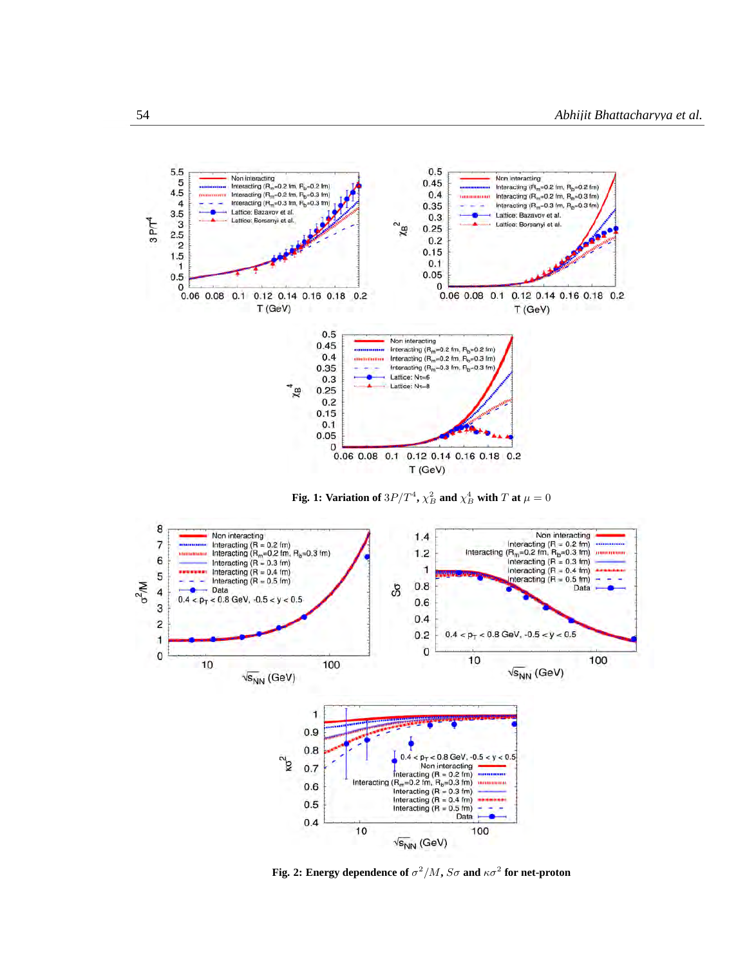





**Fig. 2: Energy dependence of**  $\sigma^2/M$ ,  $S\sigma$  and  $\kappa\sigma^2$  for net-proton